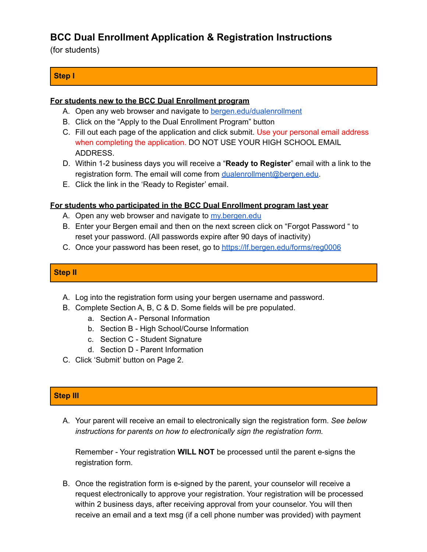# **BCC Dual Enrollment Application & Registration Instructions**

(for students)

## **Step I**

#### **For students new to the BCC Dual Enrollment program**

- A. Open any web browser and navigate to [bergen.edu/dualenrollment](http://bergen.edu/dualenrollment)
- B. Click on the "Apply to the Dual Enrollment Program" button
- C. Fill out each page of the application and click submit. Use your personal email address when completing the application. DO NOT USE YOUR HIGH SCHOOL EMAIL ADDRESS.
- D. Within 1-2 business days you will receive a "**Ready to Register**" email with a link to the registration form. The email will come from [dualenrollment@bergen.edu](mailto:dualenrollment@bergen.edu).
- E. Click the link in the 'Ready to Register' email.

#### **For students who participated in the BCC Dual Enrollment program last year**

- A. Open any web browser and navigate to my bergen.edu
- B. Enter your Bergen email and then on the next screen click on "Forgot Password " to reset your password. (All passwords expire after 90 days of inactivity)
- C. Once your password has been reset, go to <https://lf.bergen.edu/forms/reg0006>

### **Step II**

- A. Log into the registration form using your bergen username and password.
- B. Complete Section A, B, C & D. Some fields will be pre populated.
	- a. Section A Personal Information
	- b. Section B High School/Course Information
	- c. Section C Student Signature
	- d. Section D Parent Information
- C. Click 'Submit' button on Page 2.

## **Step III**

A. Your parent will receive an email to electronically sign the registration form. *See below instructions for parents on how to electronically sign the registration form.*

Remember - Your registration **WILL NOT** be processed until the parent e-signs the registration form.

B. Once the registration form is e-signed by the parent, your counselor will receive a request electronically to approve your registration. Your registration will be processed within 2 business days, after receiving approval from your counselor. You will then receive an email and a text msg (if a cell phone number was provided) with payment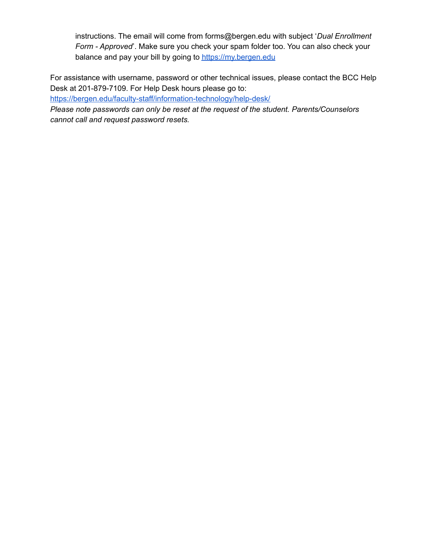instructions. The email will come from forms@bergen.edu with subject '*Dual Enrollment Form - Approved*'. Make sure you check your spam folder too. You can also check your balance and pay your bill by going to <https://my.bergen.edu>

For assistance with username, password or other technical issues, please contact the BCC Help Desk at 201-879-7109. For Help Desk hours please go to:

<https://bergen.edu/faculty-staff/information-technology/help-desk/>

*Please note passwords can only be reset at the request of the student. Parents/Counselors cannot call and request password resets.*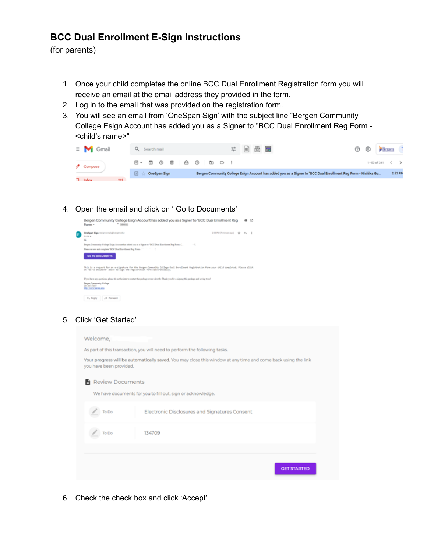## **BCC Dual Enrollment E-Sign Instructions**

(for parents)

- 1. Once your child completes the online BCC Dual Enrollment Registration form you will receive an email at the email address they provided in the form.
- 2. Log in to the email that was provided on the registration form.
- 3. You will see an email from 'OneSpan Sign' with the subject line "Bergen Community College Esign Account has added you as a Signer to "BCC Dual Enrollment Reg Form - <child's name>"

| $\equiv$ M Gmail | 苹 画 愚 屋<br>⊕ <del>Benam</del><br>$\circledR$<br>Q Search mail                                                                           |         |
|------------------|-----------------------------------------------------------------------------------------------------------------------------------------|---------|
| Compose          | $\boxdot \cdot \texttt{E} \texttt{O} \texttt{E} \texttt{E} \texttt{O} \texttt{E} \texttt{D} \texttt{E}$<br>$1-50$ of 341 $\leftarrow$ > |         |
|                  | Bergen Community College Esign Account has added you as a Signer to "BCC Dual Enrollment Reg Form - Nishika Gu<br>OneSpan Sign<br>⊡     | 2:53 PM |
| T Inhau          |                                                                                                                                         |         |

4. Open the email and click on ' Go to Documents'

| Bergen Community College Esign Account has added you as a Signer to "BCC Dual Enrollment Reg<br>$-$ letter $x$<br>Form -                                                                                              |                             |                | 亿 |
|-----------------------------------------------------------------------------------------------------------------------------------------------------------------------------------------------------------------------|-----------------------------|----------------|---|
| Onefiguan Sign vesign nonsity@tergen.edux<br>to me a<br>16.<br>×                                                                                                                                                      | 2.53 PM (7 minutes april 10 | m <sub>1</sub> |   |
| Bergen Community College Enge. Account has added you as a figure to "BCC Dual Exercisional Rag Form<br>-1.                                                                                                            |                             |                |   |
| Please review and complete "BCC Dual Exercises at Reg Form - The Control of the Second State of the Second State of Second                                                                                            |                             |                |   |
| <b>GO TO DOCUMENTS</b>                                                                                                                                                                                                |                             |                |   |
| This is a request for an e-signature for the Bergen Commonity College Dual Enrollment Registration Form your child completed. Please click<br>on 'do to bucument' above to lign the registration form electronically. |                             |                |   |
| If you have any questions, please do not healthis to contact the package overer directly. Thank you for a signing this package and serving trees?                                                                     |                             |                |   |
| Berges Community College<br>201-847-7007<br>latter, benefit because adu-                                                                                                                                              |                             |                |   |
| <b>JA Forward</b><br>4 <sub>1</sub> Reply                                                                                                                                                                             |                             |                |   |

5. Click 'Get Started'

| Welcome,                                                                                                                                 |                                               |  |  |
|------------------------------------------------------------------------------------------------------------------------------------------|-----------------------------------------------|--|--|
| As part of this transaction, you will need to perform the following tasks.                                                               |                                               |  |  |
| Your progress will be automatically saved. You may close this window at any time and come back using the link<br>you have been provided. |                                               |  |  |
| <b>B</b> Review Documents                                                                                                                |                                               |  |  |
| We have documents for you to fill out, sign or acknowledge.                                                                              |                                               |  |  |
| To Do                                                                                                                                    | Electronic Disclosures and Signatures Consent |  |  |
| To Do                                                                                                                                    | 134709                                        |  |  |
|                                                                                                                                          |                                               |  |  |
|                                                                                                                                          | <b>GET STARTED</b>                            |  |  |

6. Check the check box and click 'Accept'